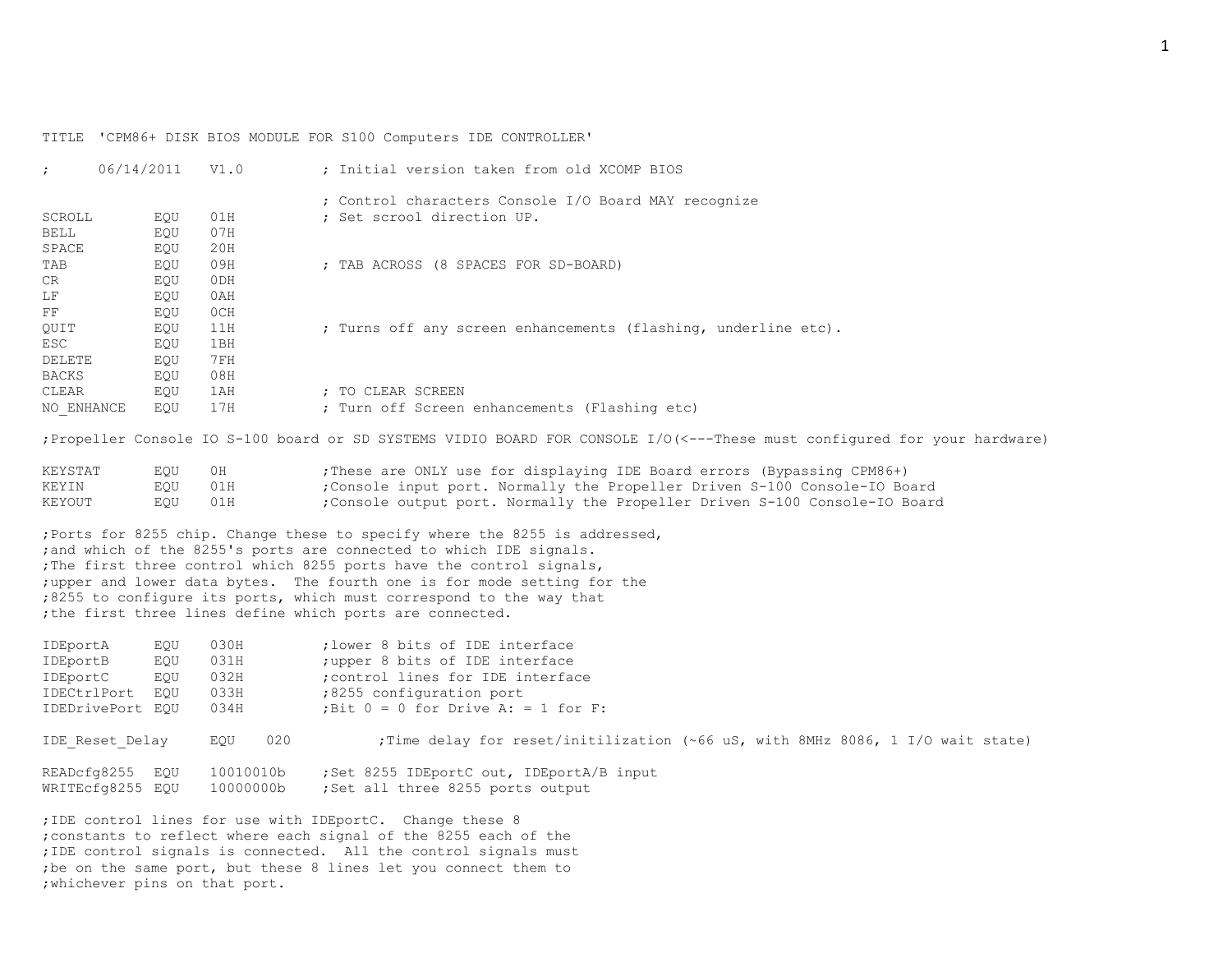TITLE 'CPM86+ DISK BIOS MODULE FOR S100 Computers IDE CONTROLLER'

| $\ddot{\phantom{0}}$ | 06/14/2011 | V1.0            | : Initial version taken from old XCOMP BIOS                                                                               |
|----------------------|------------|-----------------|---------------------------------------------------------------------------------------------------------------------------|
|                      |            |                 | ; Control characters Console I/O Board MAY recognize                                                                      |
| SCROLL               | EOU        | 01H             | ; Set scrool direction UP.                                                                                                |
| BELL                 | EQU        | 07H             |                                                                                                                           |
| SPACE                | EQU        | 20H             |                                                                                                                           |
| TAB                  | EQU        | 09H             | ; TAB ACROSS (8 SPACES FOR SD-BOARD)                                                                                      |
| CR                   | EQU        | 0 <sub>DH</sub> |                                                                                                                           |
| LF                   | EQU        | 0AH             |                                                                                                                           |
| $_{\rm FF}$          | EQU        | OCH             |                                                                                                                           |
| QUIT                 | EQU        | 11H             | ; Turns off any screen enhancements (flashing, underline etc).                                                            |
| ESC                  | EQU        | 1BH             |                                                                                                                           |
| DELETE               | EQU        | 7 F H           |                                                                                                                           |
| BACKS                | EQU        | 08H             |                                                                                                                           |
| CLEAR                | EQU        | 1AH             | : TO CLEAR SCREEN                                                                                                         |
| NO ENHANCE           | EQU        | 17H             | ; Turn off Screen enhancements (Flashing etc)                                                                             |
|                      |            |                 | ; Propeller Console IO S-100 board or SD SYSTEMS VIDIO BOARD FOR CONSOLE I/O(<---These must configured for your hardware) |
| T/TT                 |            |                 |                                                                                                                           |

| KEYSTAT | EOU     | OH | ; These are ONLY use for displaying IDE Board errors (Bypassing CPM86+)    |
|---------|---------|----|----------------------------------------------------------------------------|
| KEYIN   | EOU 01H |    | ;Console input port. Normally the Propeller Driven S-100 Console-IO Board  |
| KEYOUT  | EOU 01H |    | ;Console output port. Normally the Propeller Driven S-100 Console-IO Board |

;Ports for 8255 chip. Change these to specify where the 8255 is addressed, ; and which of the 8255's ports are connected to which IDE signals. ;The first three control which 8255 ports have the control signals, ;upper and lower data bytes. The fourth one is for mode setting for the ;8255 to configure its ports, which must correspond to the way that ;the first three lines define which ports are connected.

| IDEportA<br>IDEportB | EOU<br>EOU | 030H<br>031H | :lower 8 bits of IDE interface<br>; upper 8 bits of IDE interface               |
|----------------------|------------|--------------|---------------------------------------------------------------------------------|
| IDEportC             | EOU        | 032H         | ; control lines for IDE interface                                               |
| IDECtrlPort EQU      |            | 033H         | :8255 configuration port                                                        |
| IDEDrivePort EQU     |            | 034H         | ; Bit $0 = 0$ for Drive A: = 1 for F:                                           |
| IDE Reset Delay      |            | 020<br>EOU   | ; Time delay for reset/initilization (~66 uS, with 8MHz 8086, 1 I/O wait state) |
| READcfg8255          | EOU        | 10010010b    | ;Set 8255 IDEportC out, IDEportA/B input                                        |
| WRITEcfg8255 EOU     |            | 10000000b    | ;Set all three 8255 ports output                                                |

;IDE control lines for use with IDEportC. Change these 8 ;constants to reflect where each signal of the 8255 each of the ;IDE control signals is connected. All the control signals must ;be on the same port, but these 8 lines let you connect them to ;whichever pins on that port.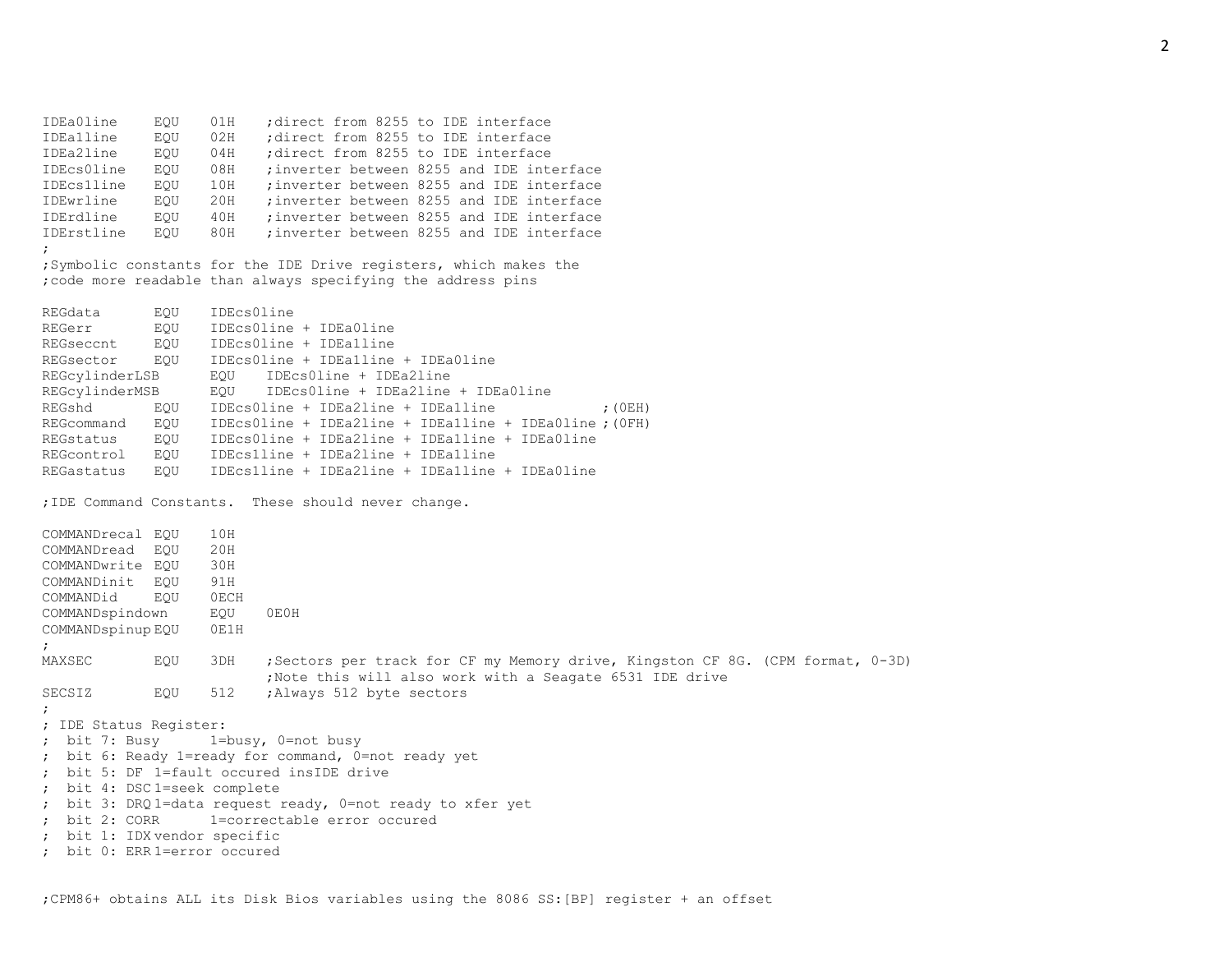IDEa0line EQU 01H ;direct from 8255 to IDE interface IDEa1line EQU 02H ;direct from 8255 to IDE interface IDEa2line EQU 04H ;direct from 8255 to IDE interface IDEcs0line EQU 08H ;inverter between 8255 and IDE interface IDEcs1line EQU 10H ;inverter between 8255 and IDE interface IDEwrline EQU 20H ;inverter between 8255 and IDE interface IDErdline EQU 40H ;inverter between 8255 and IDE interface IDErstline EQU 80H ;inverter between 8255 and IDE interface ; ;Symbolic constants for the IDE Drive registers, which makes the ;code more readable than always specifying the address pins REGdata EQU IDEcs0line REGerr EQU IDEcs0line + IDEa0line REGseccnt EQU IDEcs0line + IDEa1line REGsector EQU IDEcs0line + IDEa1line + IDEa0line REGcylinderLSB EQU IDEcs0line + IDEa2line REGcylinderMSB EQU IDEcs0line + IDEa2line + IDEa0line REGshd EQU IDEcs0line + IDEa2line + IDEa1line ; (OEH) REGcommand EQU IDEcs0line + IDEa2line + IDEa1line + IDEa0line ;(0FH) REGstatus EQU IDEcs0line + IDEa2line + IDEa1line + IDEa0line REGcontrol EQU IDEcs1line + IDEa2line + IDEa1line REGastatus EQU IDEcs1line + IDEa2line + IDEa1line + IDEa0line ;IDE Command Constants. These should never change. COMMANDrecal EQU 10H COMMANDread EQU 20H COMMANDwrite EQU 30H COMMANDinit EQU 91H COMMANDid EQU 0ECH COMMANDspindown EQU 0E0H COMMANDspinup EQU 0E1H ; MAXSEC EQU 3DH ;Sectors per track for CF my Memory drive, Kingston CF 8G. (CPM format, 0-3D) ;Note this will also work with a Seagate 6531 IDE drive SECSIZ EQU 512 ; Always 512 byte sectors ; ; IDE Status Register: ; bit 7: Busy 1=busy, 0=not busy ; bit 6: Ready 1=ready for command, 0=not ready yet ; bit 5: DF 1=fault occured insIDE drive ; bit 4: DSC 1=seek complete ; bit 3: DRQ 1=data request ready, 0=not ready to xfer yet ; bit 2: CORR 1=correctable error occured ; bit 1: IDX vendor specific ; bit 0: ERR 1=error occured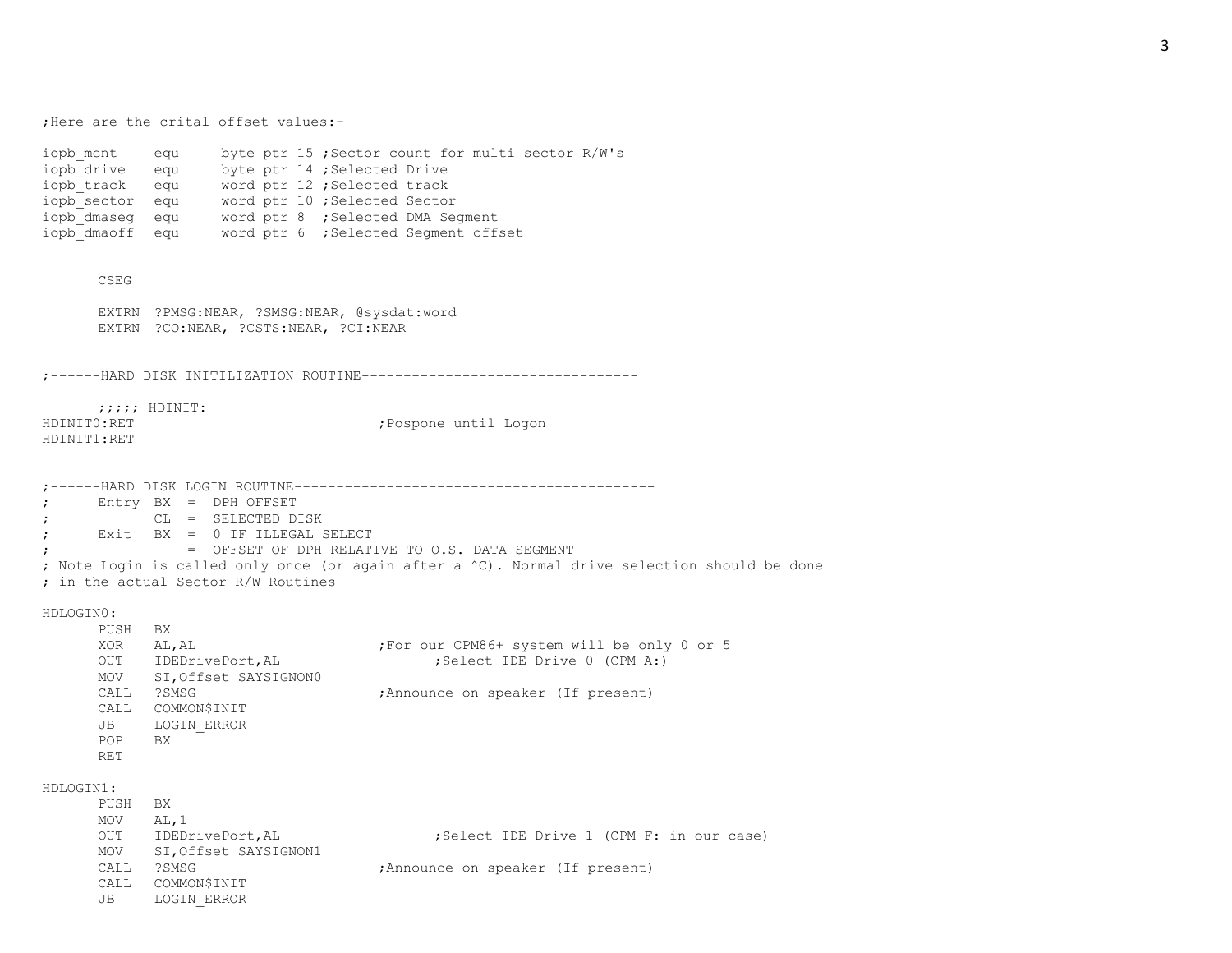;Here are the crital offset values:-

iopb mcnt equ byte ptr 15 ;Sector count for multi sector R/W's iopb\_drive equ byte ptr 14 ; Selected Drive iopb track equ word ptr 12 ;Selected track iopb sector equ word ptr 10 ;Selected Sector iopb dmaseg equ word ptr 8 ;Selected DMA Segment iopb dmaoff equ word ptr 6 ;Selected Segment offset

CSEG

EXTRN ?PMSG:NEAR, ?SMSG:NEAR, @sysdat:word EXTRN ?CO:NEAR, ?CSTS:NEAR, ?CI:NEAR

;------HARD DISK INITILIZATION ROUTINE---------------------------------

;;;;; HDINIT: HDINIT1:RET

HDINIT0:RET ;Pospone until Logon

;------HARD DISK LOGIN ROUTINE------------------------------------------- ; Entry BX = DPH OFFSET ; CL = SELECTED DISK ; Exit BX = 0 IF ILLEGAL SELECT ; = OFFSET OF DPH RELATIVE TO O.S. DATA SEGMENT ; Note Login is called only once (or again after a ^C). Normal drive selection should be done ; in the actual Sector R/W Routines

## HDLOGIN0:

PUSH BX XOR AL, AL  $\sim$  ;For our CPM86+ system will be only 0 or 5 OUT IDEDrivePort, AL ; Select IDE Drive 0 (CPM A:) MOV SI,Offset SAYSIGNON0 CALL ?SMSG ;Announce on speaker (If present) CALL COMMON\$INIT JB LOGIN\_ERROR POP BX RET

HDLOGIN1:

| PUSH | BX.                  |                                          |
|------|----------------------|------------------------------------------|
| MOV  | AL.1                 |                                          |
| OUT  | IDEDrivePort, AL     | :Select IDE Drive 1 (CPM F: in our case) |
| MOV  | SI,Offset SAYSIGNON1 |                                          |
| CALL | ?SMSG                | ; Announce on speaker (If present)       |
| CALL | COMMON\$INIT         |                                          |
| JB   | LOGIN ERROR          |                                          |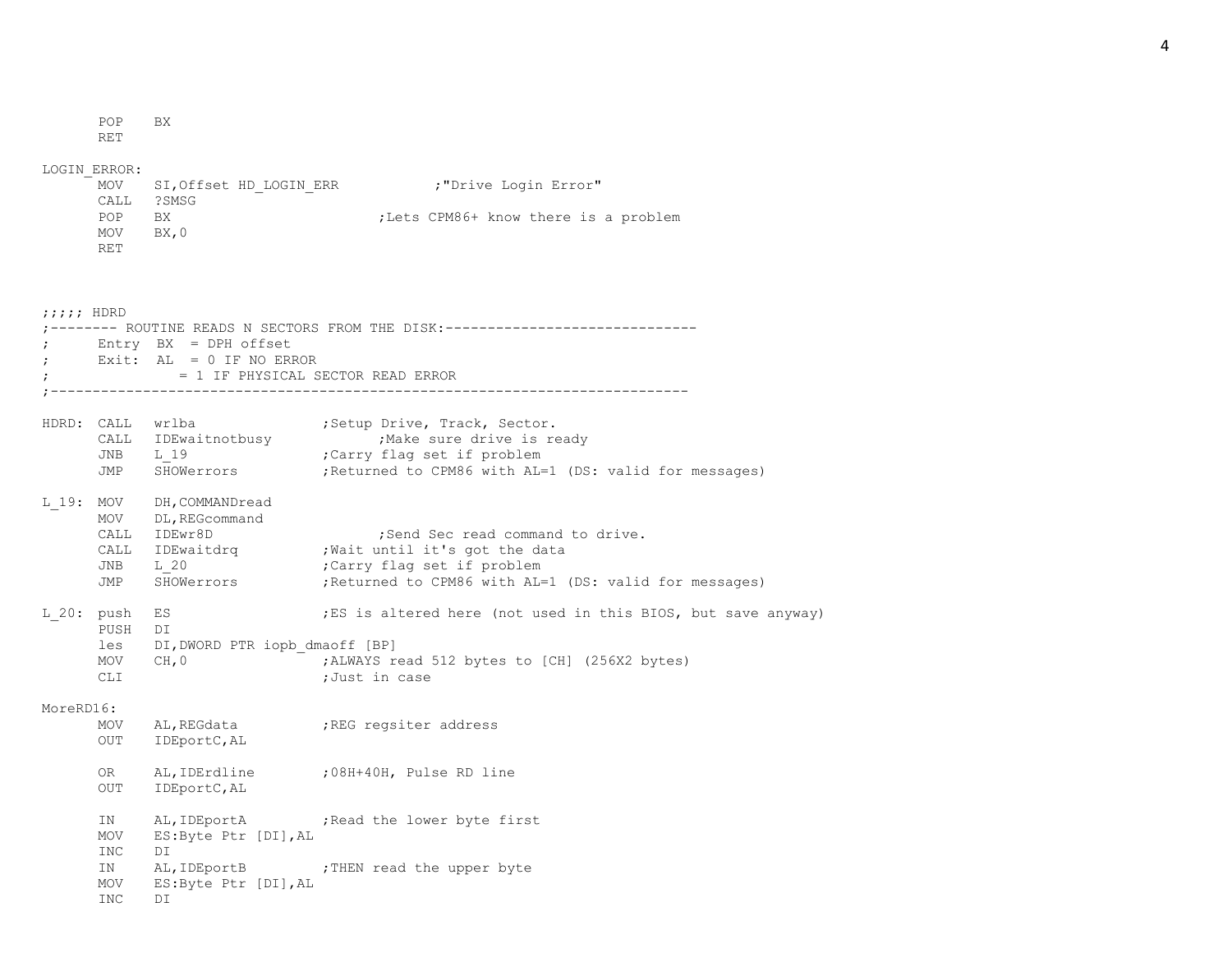POP BX

RET

## LOGIN\_ERROR:

|            | MOV SI, Offset HD LOGIN ERR | :"Drive Login Error"                 |
|------------|-----------------------------|--------------------------------------|
| CALL       | ?SMSG                       |                                      |
| <b>POP</b> | BX.                         | :Lets CPM86+ know there is a problem |
| MOV        | BX.0                        |                                      |
| RET        |                             |                                      |

| $j$ ;;;; HDRD |                                       |                                                                |                                                                                                                                                                                   |
|---------------|---------------------------------------|----------------------------------------------------------------|-----------------------------------------------------------------------------------------------------------------------------------------------------------------------------------|
| $\mathcal{L}$ |                                       | $Entry$ $BX$ = $DPH$ offset<br>Exit: $AL = 0 IF NO ERROR$      | ------ ROUTINE READS N SECTORS FROM THE DISK:-----------------------------<br>= 1 IF PHYSICAL SECTOR READ ERROR                                                                   |
|               | JNB L 19<br>JMP                       | CALL IDEwaitnotbusy                                            | HDRD: CALL wrlba (Setup Drive, Track, Sector.<br>Make sure drive is ready,<br>;Carry flag set if problem<br>SHOWerrors ; Returned to CPM86 with AL=1 (DS: valid for messages)     |
|               | MOV<br>CALL<br>CALL<br>JNB<br>JMP     | L 19: MOV DH, COMMANDread<br>DL, REGcommand<br>IDEwr8D<br>L 20 | ; Send Sec read command to drive.<br>IDEwaitdrq . Wait until it's got the data<br>Carry flag set if problem;<br>SHOWerrors ; Returned to CPM86 with AL=1 (DS: valid for messages) |
| L 20: push    | PUSH<br>les<br>MOV<br><b>CLI</b>      | ES<br>DI<br>DI, DWORD PTR iopb dmaoff [BP]<br>CH, 0            | ES is altered here (not used in this BIOS, but save anyway)<br>; ALWAYS read 512 bytes to [CH] (256X2 bytes)<br>;Just in case                                                     |
| MoreRD16:     | MOV<br><b>OUT</b>                     | IDEportC, AL                                                   | AL, REGdata (REG regsiter address                                                                                                                                                 |
|               | OR<br>OUT                             | IDEportC, AL                                                   | AL, IDErdline : 08H+40H, Pulse RD line                                                                                                                                            |
|               | IN<br>MOV<br>INC<br>IN<br>MOV<br>INC. | ES:Byte Ptr [DI], AL<br>DI<br>ES:Byte Ptr [DI], AL<br>DI       | AL, IDEportA ; Read the lower byte first<br>AL, IDEportB ; THEN read the upper byte                                                                                               |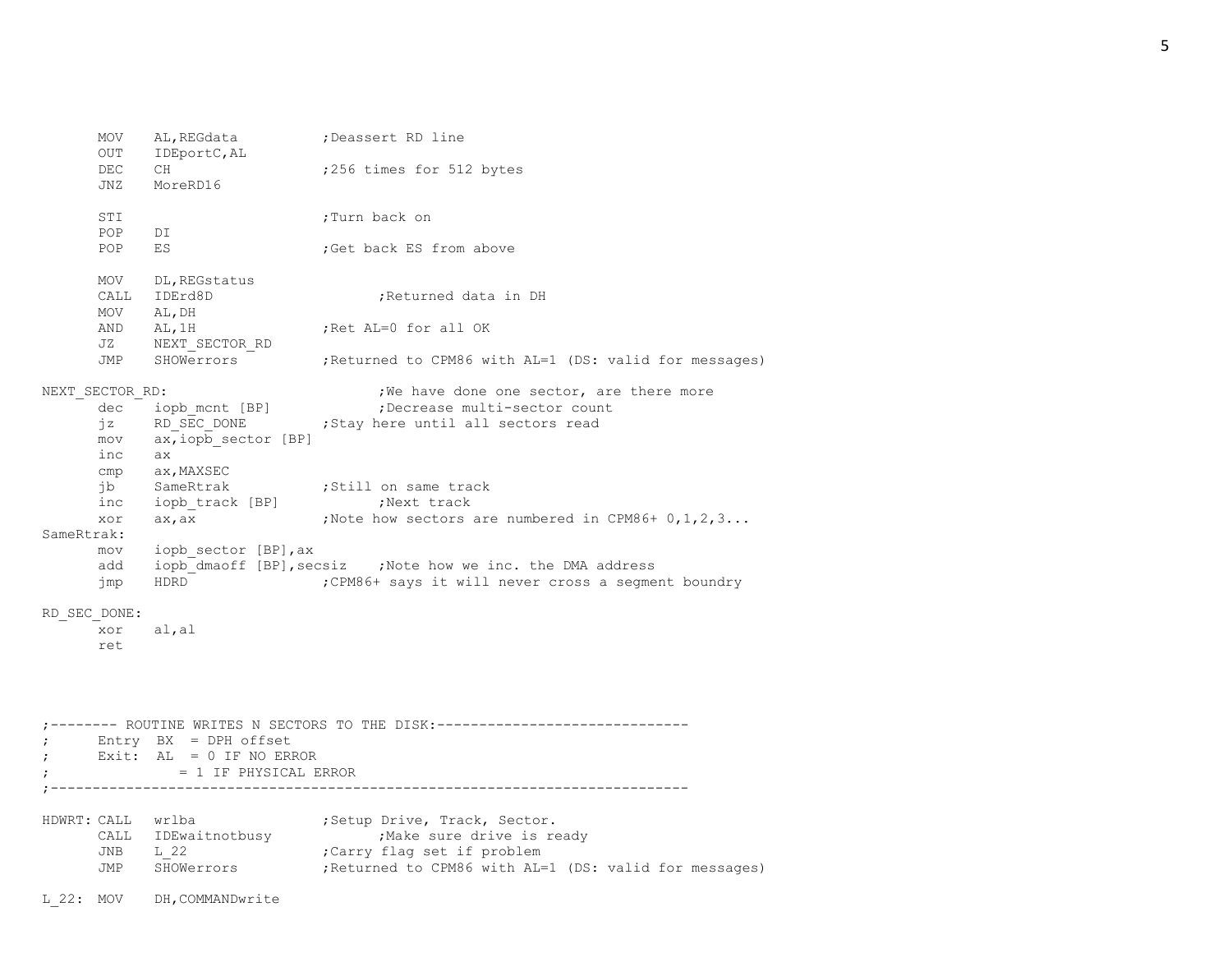MOV AL, REGdata ; Deassert RD line OUT IDEportC,AL DEC CH ;256 times for 512 bytes JNZ MoreRD16 STI :Turn back on POP DI POP ES ;Get back ES from above MOV DL, REGstatus CALL IDErd8D :Returned data in DH MOV AL,DH AND AL, 1H ;Ret AL=0 for all OK JZ NEXT\_SECTOR\_RD JMP SHOWerrors ;Returned to CPM86 with AL=1 (DS: valid for messages) NEXT SECTOR RD:  $;W$  , we have done one sector, are there more dec iopb mcnt [BP] ;Decrease multi-sector count jz RD SEC DONE ; Stay here until all sectors read mov ax,iopb\_sector [BP] inc ax cmp ax,MAXSEC jb SameRtrak ;Still on same track inc iopb track [BP] ;Next track xor  $ax, ax$  ;Note how sectors are numbered in CPM86+  $0, 1, 2, 3...$ SameRtrak: mov iopb\_sector [BP],ax add iopb dmaoff [BP], secsiz ;Note how we inc. the DMA address jmp HDRD ;CPM86+ says it will never cross a segment boundry RD\_SEC\_DONE: xor al,al ret ;-------- ROUTINE WRITES N SECTORS TO THE DISK:------------------------------ ; Entry BX = DPH offset ; Exit: AL = 0 IF NO ERROR ; = 1 IF PHYSICAL ERROR ;---------------------------------------------------------------------------- HDWRT: CALL wrlba  $\qquad \qquad ;$  Setup Drive, Track, Sector. CALL IDEwaitnotbusy . Wake sure drive is ready JNB L 22 ;Carry flag set if problem JMP SHOWerrors ;Returned to CPM86 with AL=1 (DS: valid for messages) L 22: MOV DH, COMMANDwrite

5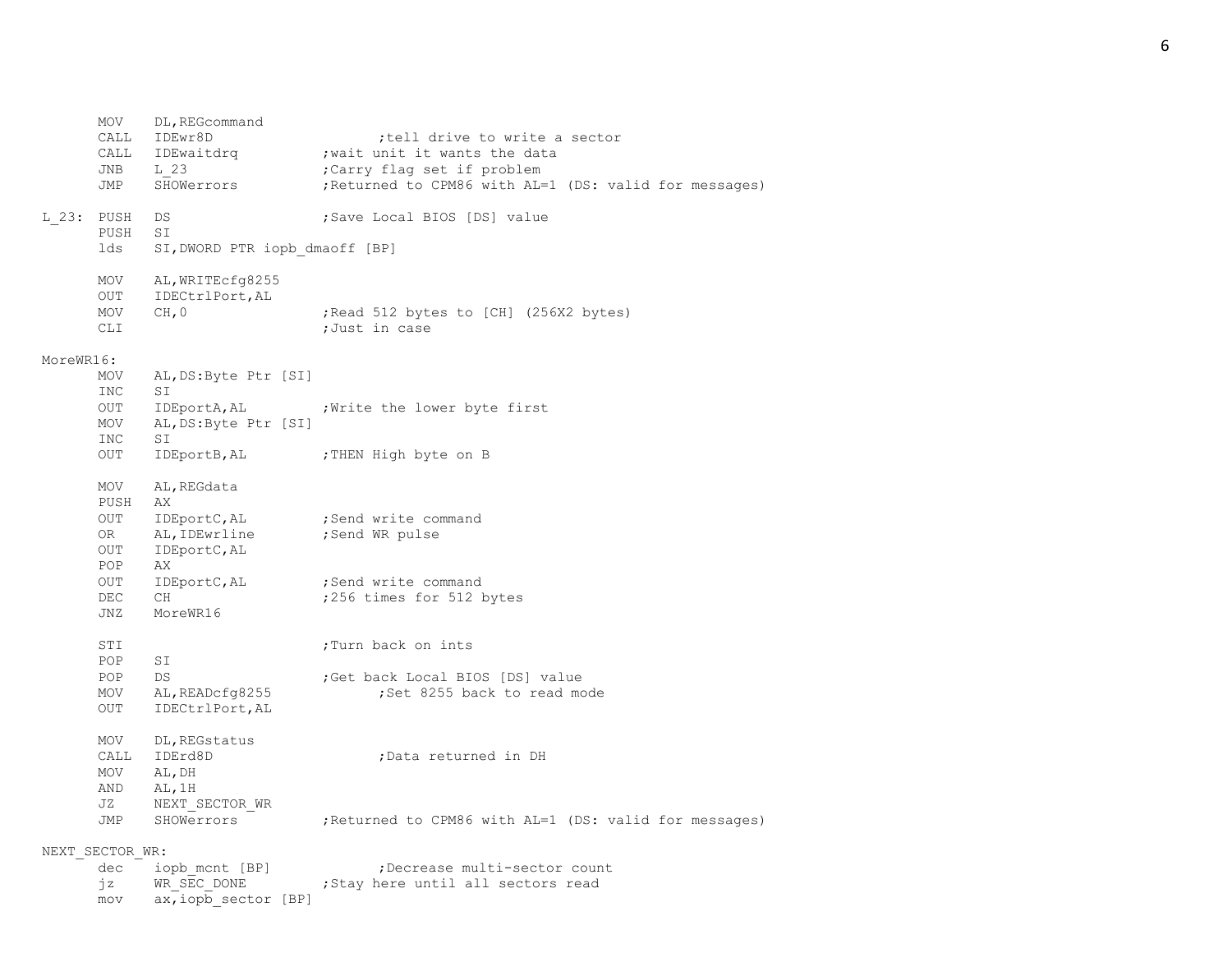MOV DL, REGcommand CALL IDEwr8D ;tell drive to write a sector CALL IDEwaitdrq ; wait unit it wants the data JNB L 23 ;Carry flag set if problem JMP SHOWerrors ;Returned to CPM86 with AL=1 (DS: valid for messages) L 23: PUSH DS ; Save Local BIOS [DS] value PUSH SI lds SI, DWORD PTR iopb dmaoff [BP] MOV AL,WRITEcfg8255 OUT IDECtrlPort,AL MOV CH, 0 ;Read 512 bytes to [CH] (256X2 bytes) CLI ;Just in case MoreWR16: MOV AL,DS:Byte Ptr [SI] INC SI OUT IDEportA, AL ; Write the lower byte first MOV AL,DS:Byte Ptr [SI] INC SI OUT IDEportB, AL :THEN High byte on B MOV AL,REGdata PUSH AX OUT IDEportC, AL ; Send write command OR AL, IDEwrline ; Send WR pulse OUT IDEportC,AL POP AX OUT IDEportC, AL ; Send write command DEC CH ;256 times for 512 bytes JNZ MoreWR16 STI ;Turn back on ints POP SI POP DS ;Get back Local BIOS [DS] value MOV AL, READcfq8255 ;Set 8255 back to read mode OUT IDECtrlPort,AL MOV DL, REGstatus CALL IDErd8D ;Data returned in DH MOV AL,DH AND AL,1H JZ NEXT\_SECTOR\_WR JMP SHOWerrors ;Returned to CPM86 with AL=1 (DS: valid for messages) NEXT\_SECTOR\_WR: dec iopb mcnt [BP] ;Decrease multi-sector count jz WR SEC DONE ; Stay here until all sectors read

mov ax,iopb\_sector [BP]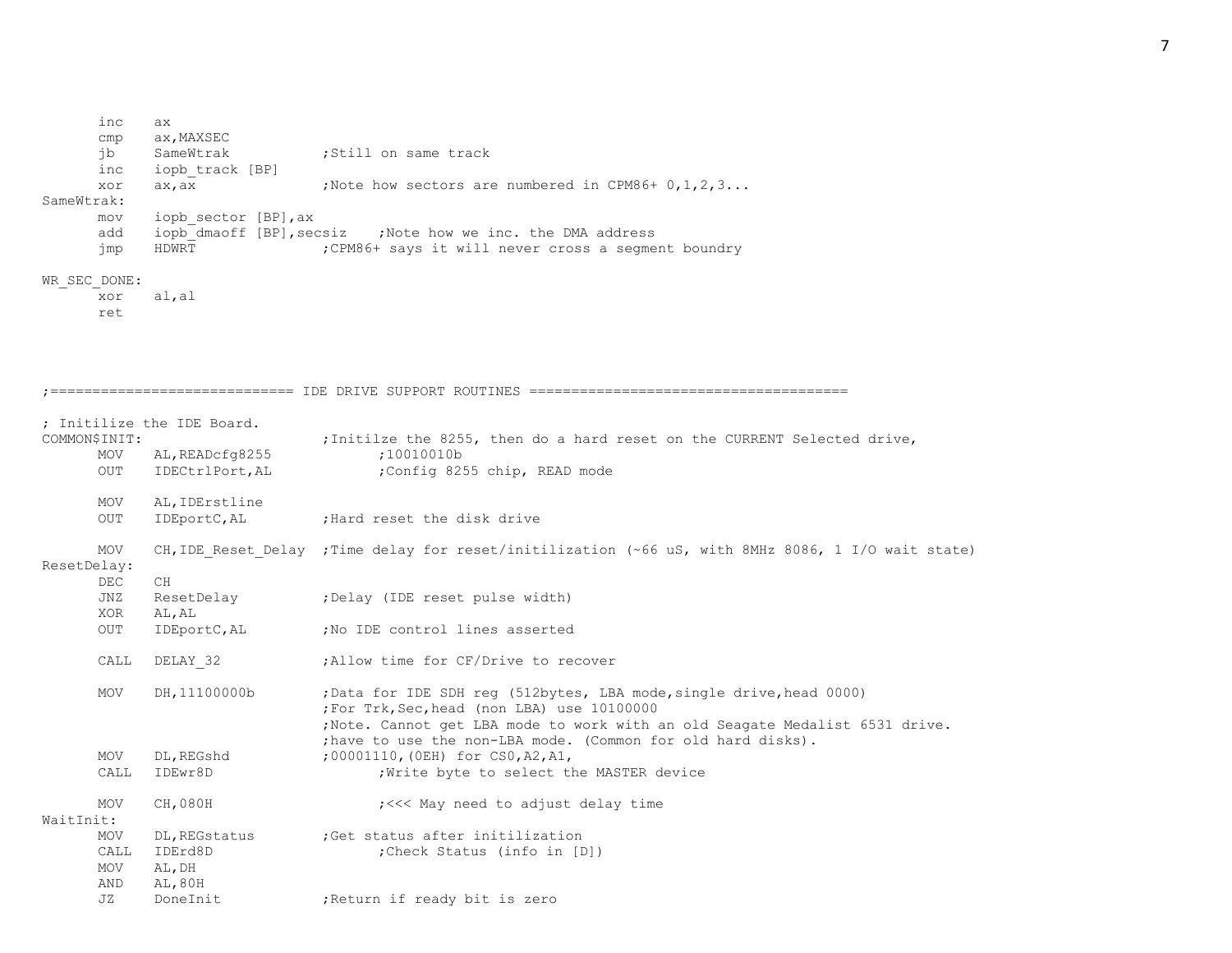inc ax cmp ax,MAXSEC jb SameWtrak ;Still on same track inc iopb\_track [BP] xor  $ax, ax$  ;Note how sectors are numbered in CPM86+  $0, 1, 2, 3...$ SameWtrak: mov iopb\_sector [BP],ax add iopb dmaoff [BP], secsiz ;Note how we inc. the DMA address jmp HDWRT ;CPM86+ says it will never cross a segment boundry WR\_SEC\_DONE: xor al,al ret ;============================= IDE DRIVE SUPPORT ROUTINES ====================================== ; Initilize the IDE Board. COMMON\$INIT:  $\qquad \qquad ;\text{Initialize the 8255, then do a hard reset on the CURRENT Selected drive, }$ MOV AL, READcfg8255 ;10010010b OUT IDECtrlPort, AL ;Config 8255 chip, READ mode MOV AL,IDErstline OUT IDEportC, AL ; Hard reset the disk drive MOV CH, IDE Reset Delay ; Time delay for reset/initilization (~66 uS, with 8MHz 8086, 1 I/O wait state) ResetDelay: DEC CH JNZ ResetDelay ;Delay (IDE reset pulse width) XOR AL,AL OUT IDEportC, AL ;No IDE control lines asserted CALL DELAY 32 ;Allow time for CF/Drive to recover MOV DH,11100000b ;Data for IDE SDH reg (512bytes, LBA mode, single drive, head 0000) ;For Trk,Sec,head (non LBA) use 10100000 ;Note. Cannot get LBA mode to work with an old Seagate Medalist 6531 drive. ;have to use the non-LBA mode. (Common for old hard disks). MOV DL, REGshd : 00001110, (OEH) for CS0, A2, A1, CALL IDEwr8D : Write byte to select the MASTER device MOV CH,080H  $:<<$  May need to adjust delay time WaitInit: MOV DL, REGstatus ; Get status after initilization CALL IDErd8D ;Check Status (info in [D]) MOV AL,DH AND AL,80H JZ DoneInit ;Return if ready bit is zero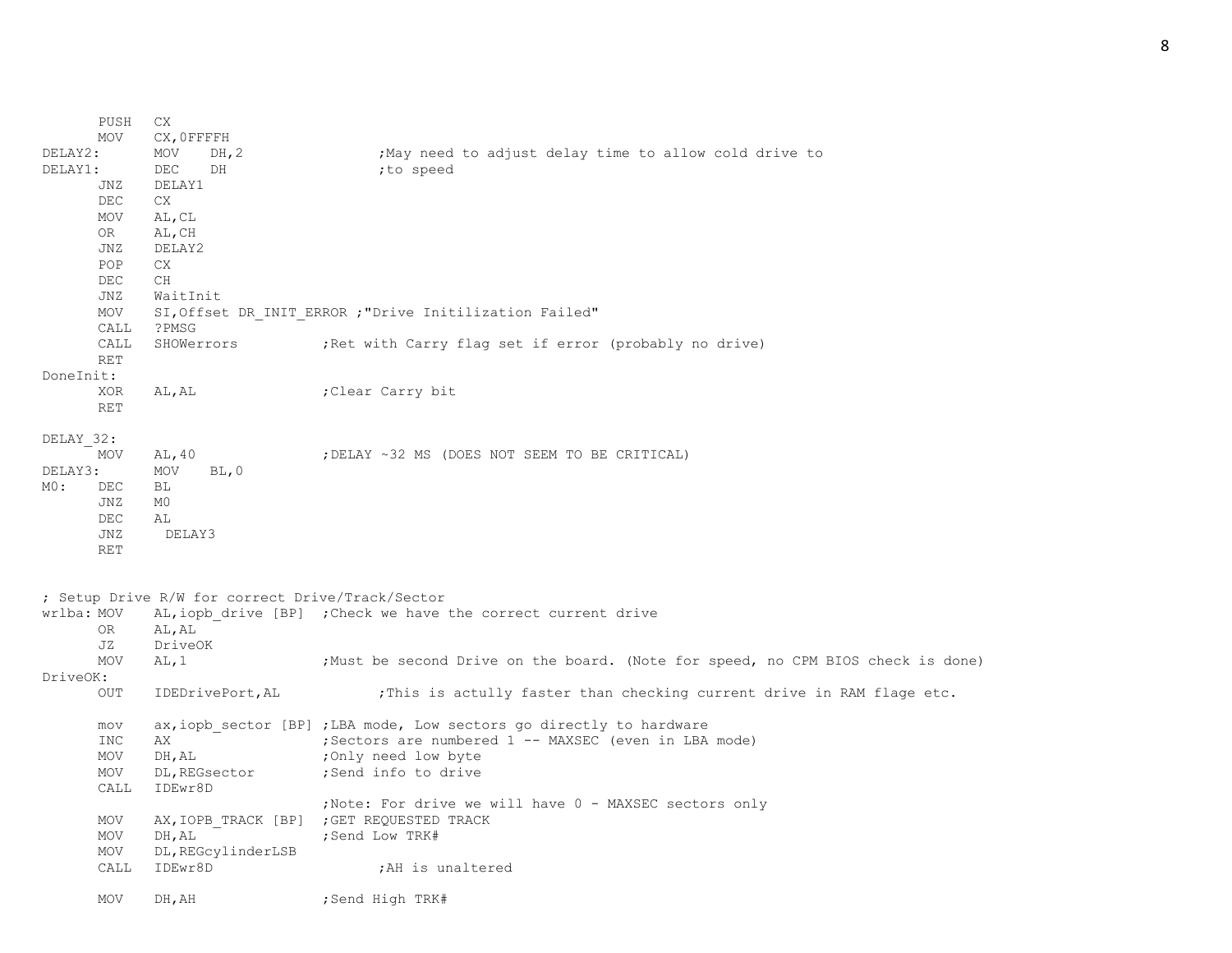|            | PUSH       | CX            |                    |                                                                                  |
|------------|------------|---------------|--------------------|----------------------------------------------------------------------------------|
|            | <b>MOV</b> | CX, OFFFFH    |                    |                                                                                  |
| DELAY2:    |            | MOV           | DH, 2              | May need to adjust delay time to allow cold drive to                             |
| DELAY1:    |            | DEC           | DH                 | ;to speed                                                                        |
|            | JNZ        | DELAY1        |                    |                                                                                  |
|            | DEC        | CX            |                    |                                                                                  |
|            | MOV        | AL, CL        |                    |                                                                                  |
|            | OR .       | AL, CH        |                    |                                                                                  |
|            | JNZ        | DELAY2        |                    |                                                                                  |
|            | POP        | CX.           |                    |                                                                                  |
|            | DEC        | <b>CH</b>     |                    |                                                                                  |
|            | JNZ        | WaitInit      |                    |                                                                                  |
|            | MOV        |               |                    | SI, Offset DR INIT ERROR ; "Drive Initilization Failed"                          |
|            | CALL       | ?PMSG         |                    |                                                                                  |
|            | CALL       | SHOWerrors    |                    | ; Ret with Carry flag set if error (probably no drive)                           |
|            | <b>RET</b> |               |                    |                                                                                  |
| DoneInit:  |            |               |                    |                                                                                  |
|            | XOR        | AL, AL        |                    | Clear Carry bit;                                                                 |
|            | <b>RET</b> |               |                    |                                                                                  |
|            |            |               |                    |                                                                                  |
| DELAY 32:  |            |               |                    |                                                                                  |
|            | MOV        | AL, 40        |                    | ; DELAY ~32 MS (DOES NOT SEEM TO BE CRITICAL)                                    |
| DELAY3:    |            | MOV           | BL, 0              |                                                                                  |
| MO:        |            |               |                    |                                                                                  |
|            | DEC        | ВL            |                    |                                                                                  |
|            | JNZ        | M0            |                    |                                                                                  |
|            | DEC        | AL            |                    |                                                                                  |
|            | <b>JNZ</b> | DELAY3        |                    |                                                                                  |
|            | <b>RET</b> |               |                    |                                                                                  |
|            |            |               |                    |                                                                                  |
|            |            |               |                    |                                                                                  |
|            |            |               |                    | ; Setup Drive R/W for correct Drive/Track/Sector                                 |
| wrlba: MOV |            |               |                    | AL, iopb drive [BP] ; Check we have the correct current drive                    |
|            | 0R         | AL, AL        |                    |                                                                                  |
|            | JZ         | DriveOK       |                    |                                                                                  |
|            | <b>MOV</b> | AL, 1         |                    | ; Must be second Drive on the board. (Note for speed, no CPM BIOS check is done) |
| DriveOK:   |            |               |                    |                                                                                  |
|            | OUT        |               | IDEDrivePort, AL   | ; This is actully faster than checking current drive in RAM flage etc.           |
|            |            |               |                    |                                                                                  |
|            | mov        |               |                    | ax, iopb sector [BP] ; LBA mode, Low sectors go directly to hardware             |
|            | <b>INC</b> | АX            |                    | ; Sectors are numbered 1 -- MAXSEC (even in LBA mode)                            |
|            | MOV        | DH, AL        |                    | ;Only need low byte                                                              |
|            | <b>MOV</b> | DL, REGsector |                    | ;Send info to drive                                                              |
|            | CALL       | IDEwr8D       |                    |                                                                                  |
|            |            |               |                    | ;Note: For drive we will have 0 - MAXSEC sectors only                            |
|            | MOV        |               |                    | AX, IOPB TRACK [BP] ; GET REQUESTED TRACK                                        |
|            | MOV        | DH, AL        |                    | ; Send Low TRK#                                                                  |
|            | MOV        |               | DL, REGcylinderLSB |                                                                                  |
|            | CALL       | IDEwr8D       |                    | ; AH is unaltered                                                                |
|            |            |               |                    |                                                                                  |
|            | MOV        | DH, AH        |                    | ;Send High TRK#                                                                  |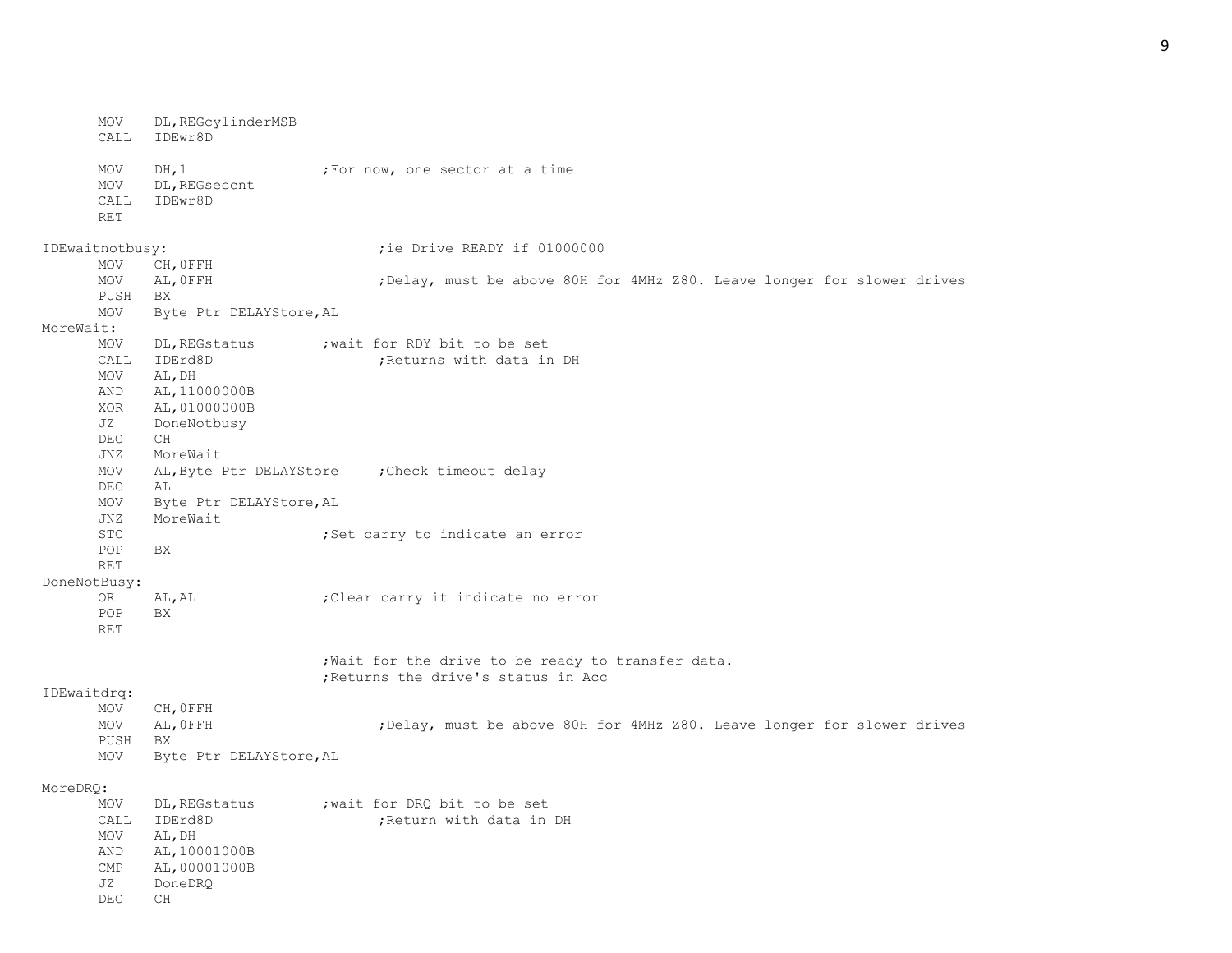MOV DL,REGcylinderMSB CALL IDEwr8D MOV DH, 1  $;$  For now, one sector at a time MOV DL,REGseccnt CALL IDEwr8D RET IDEwaitnotbusy:  $\qquad \qquad \qquad \qquad ;$  ie Drive READY if 01000000 MOV CH,0FFH MOV AL, OFFH ;Delay, must be above 80H for 4MHz Z80. Leave longer for slower drives PUSH BX MOV Byte Ptr DELAYStore,AL MoreWait: MOV DL, REGstatus ; wait for RDY bit to be set CALL IDErd8D ;Returns with data in DH MOV AL,DH AND AL,11000000B XOR AL,01000000B JZ DoneNotbusy DEC CH JNZ MoreWait MOV AL,Byte Ptr DELAYStore ;Check timeout delay DEC AL MOV Byte Ptr DELAYStore,AL JNZ MoreWait STC 6. The state of the state of the state of the state of the state of the state of the state of the state of the state of the state of the state of the state of the state of the state of the state of the state of the sta POP BX RET DoneNotBusy: OR AL, AL ;Clear carry it indicate no error POP BX RET ;Wait for the drive to be ready to transfer data. ;Returns the drive's status in Acc IDEwaitdrq: MOV CH,0FFH MOV AL, OFFH ;Delay, must be above 80H for 4MHz Z80. Leave longer for slower drives PUSH BX MOV Byte Ptr DELAYStore,AL MoreDRQ: MOV DL, REGstatus ; wait for DRQ bit to be set CALL IDErd8D :Return with data in DH MOV AL,DH AND AL,10001000B CMP AL,00001000B JZ DoneDRQ DEC CH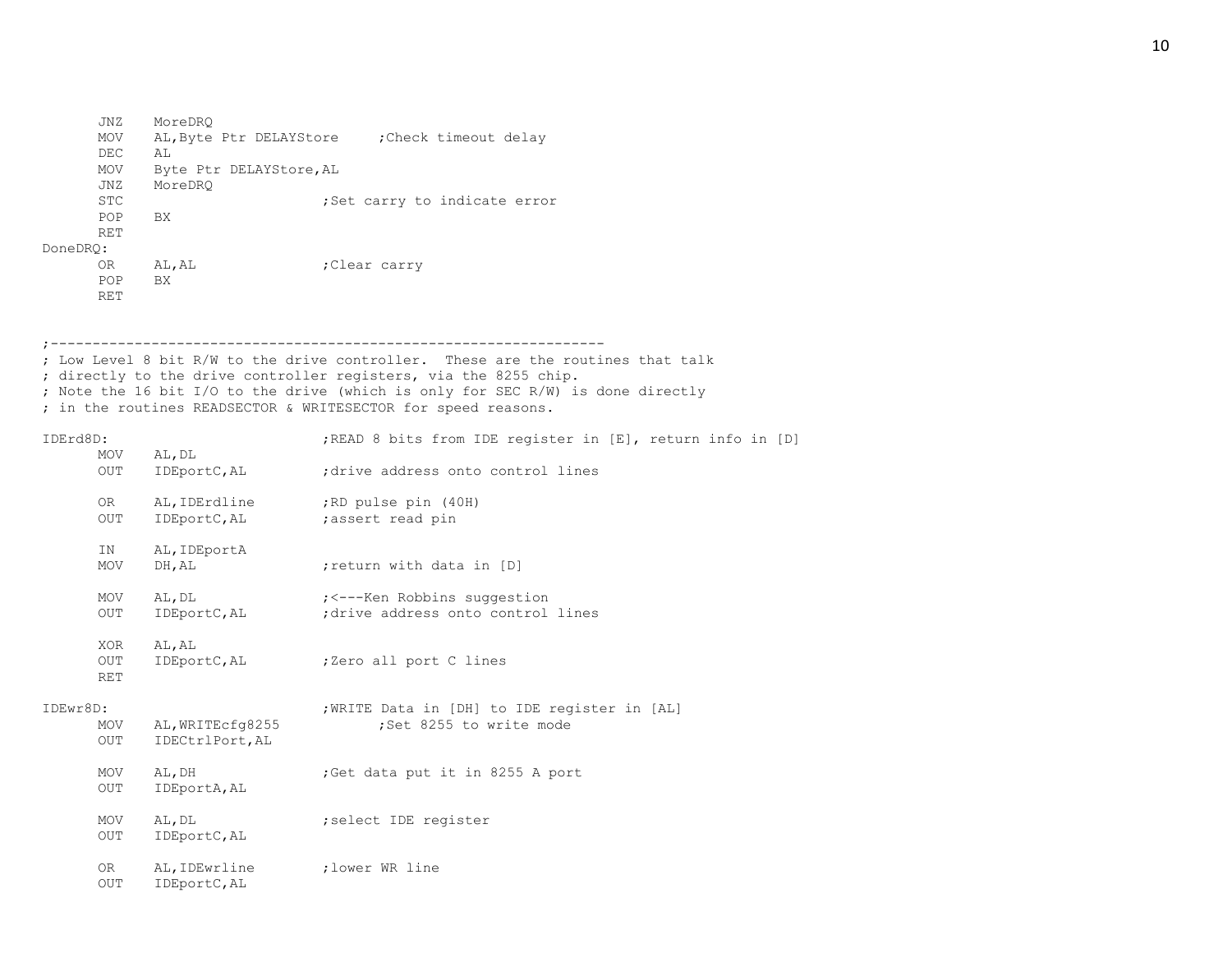JNZ MoreDRQ MOV AL,Byte Ptr DELAYStore ;Check timeout delay DEC AL MOV Byte Ptr DELAYStore,AL JNZ MoreDRQ STC 6. 1997 : Set carry to indicate error POP BX RET DoneDRQ: OR AL, AL (Clear carry POP BX RET

;------------------------------------------------------------------ ; Low Level 8 bit R/W to the drive controller. These are the routines that talk ; directly to the drive controller registers, via the 8255 chip. ; Note the 16 bit I/O to the drive (which is only for SEC R/W) is done directly ; in the routines READSECTOR & WRITESECTOR for speed reasons.

## IDErd8D: ;READ 8 bits from IDE register in [E], return info in [D]

|          | MOV<br>OUT               | AL, DL<br>IDEportC, AL              | ; drive address onto control lines                                      |
|----------|--------------------------|-------------------------------------|-------------------------------------------------------------------------|
|          | OR .<br>OUT              | AL, IDErdline<br>IDEportC, AL       | ;RD pulse pin (40H)<br>;assert read pin                                 |
|          | IN<br>MOV                | AL, IDEportA<br>DH, AL              | return with data in [D]                                                 |
|          | MOV<br>OUT               | AL, DL<br>IDEportC, AL              | ; <---Ken Robbins suggestion<br>; drive address onto control lines      |
|          | XOR<br>OUT<br><b>RET</b> | AL, AL<br>IDEportC, AL              | ;Zero all port C lines                                                  |
| IDEwr8D: | MOV<br>OUT               | AL, WRITEcfg8255<br>IDECtrlPort, AL | ; WRITE Data in [DH] to IDE register in [AL]<br>;Set 8255 to write mode |
|          | MOV<br>OUT               | AL, DH<br>IDEportA, AL              | ;Get data put it in 8255 A port                                         |
|          | MOV<br>OUT               | AL, DL<br>IDEportC, AL              | ; select IDE register                                                   |
|          | 0R —<br><b>OUT</b>       | AL, IDEwrline<br>IDEportC, AL       | :lower WR line                                                          |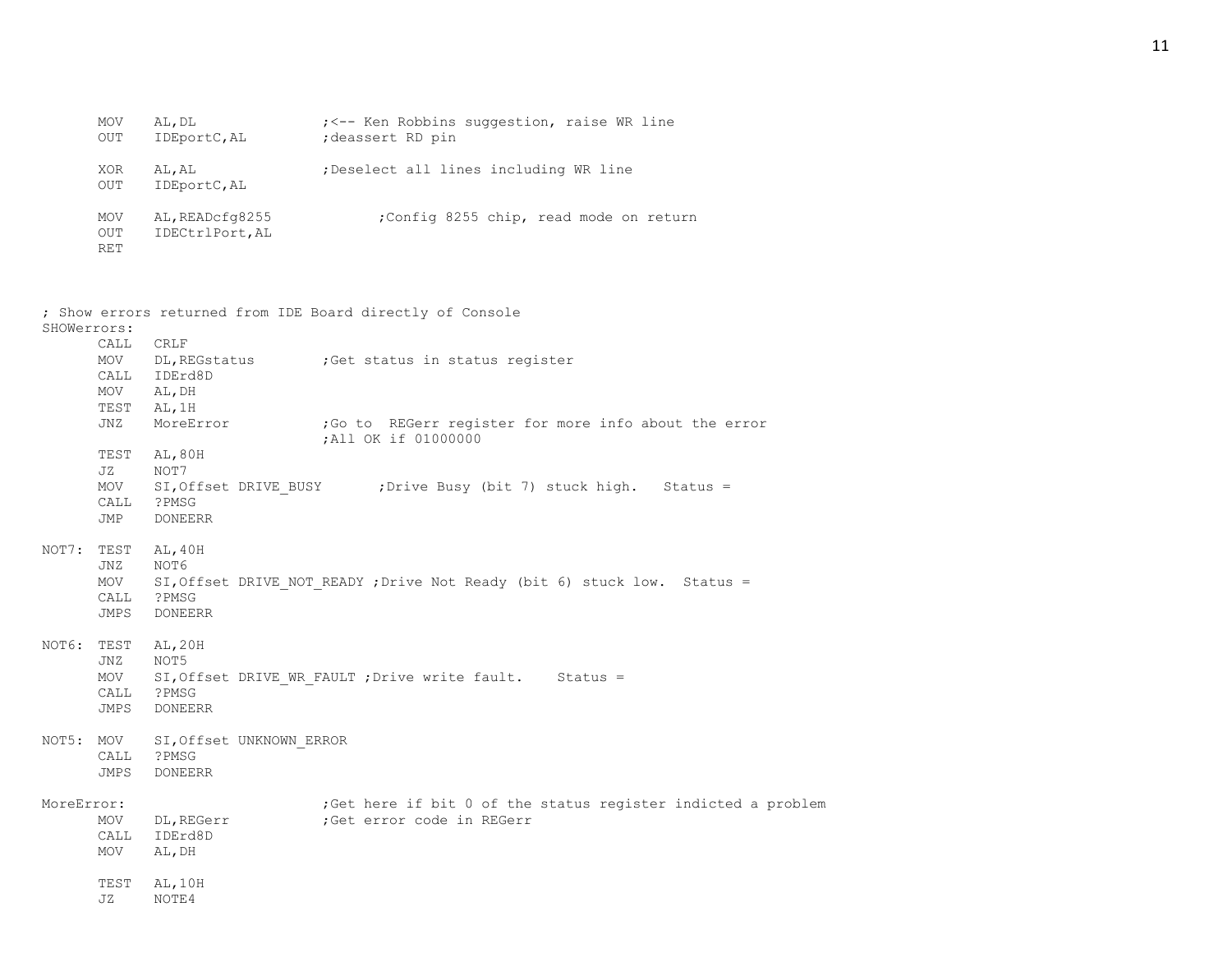| MOV<br>OUT        | AL, DL<br>IDEportC, AL             | ; <-- Ken Robbins suggestion, raise WR line<br>; deassert RD pin |
|-------------------|------------------------------------|------------------------------------------------------------------|
| XOR<br>OUT        | AL, AL<br>IDEportC, AL             | Deselect all lines including WR line                             |
| MOV<br>OUT<br>RET | AL, READcfq8255<br>IDECtrlPort, AL | ;Config 8255 chip, read mode on return                           |

| SHOWerrors: |                                    | ; Show errors returned from IDE Board directly of Console                                                                    |
|-------------|------------------------------------|------------------------------------------------------------------------------------------------------------------------------|
|             | CALL<br>MOV<br>CALL<br>MOV<br>TEST | <b>CRLF</b><br>DL, REGstatus : Get status in status register<br>IDErd8D<br>AL, DH<br>AL, 1H                                  |
|             | JNZ                                | MoreError<br>; Go to REGerr register for more info about the error<br>; All OK if 01000000                                   |
|             | TEST<br>JZ<br>MOV<br>CALL<br>JMP   | AL, 80H<br>NOT7<br>SI, Offset DRIVE BUSY ; Drive Busy (bit 7) stuck high. Status =<br>?PMSG<br><b>DONEERR</b>                |
| NOT7:       | TEST<br>JNZ<br>MOV<br>CALL<br>JMPS | AL, 40H<br>NOT6<br>SI, Offset DRIVE NOT READY ; Drive Not Ready (bit 6) stuck low. Status =<br>?PMSG<br><b>DONEERR</b>       |
| NOT6: TEST  | JNZ<br>MOV<br>CALL<br>JMPS         | AL, 20H<br>NOT5<br>SI, Offset DRIVE WR FAULT ; Drive write fault. Status =<br>?PMSG<br><b>DONEERR</b>                        |
| NOT5: MOV   | CALL<br>JMPS                       | SI, Offset UNKNOWN ERROR<br>?PMSG<br><b>DONEERR</b>                                                                          |
| MoreError:  | MOV<br>CALL<br>MOV                 | ;Get here if bit 0 of the status register indicted a problem<br>DL, REGerr<br>;Get error code in REGerr<br>IDErd8D<br>AL, DH |
|             | TEST<br>JZ.                        | AL, 10H<br>NOTE4                                                                                                             |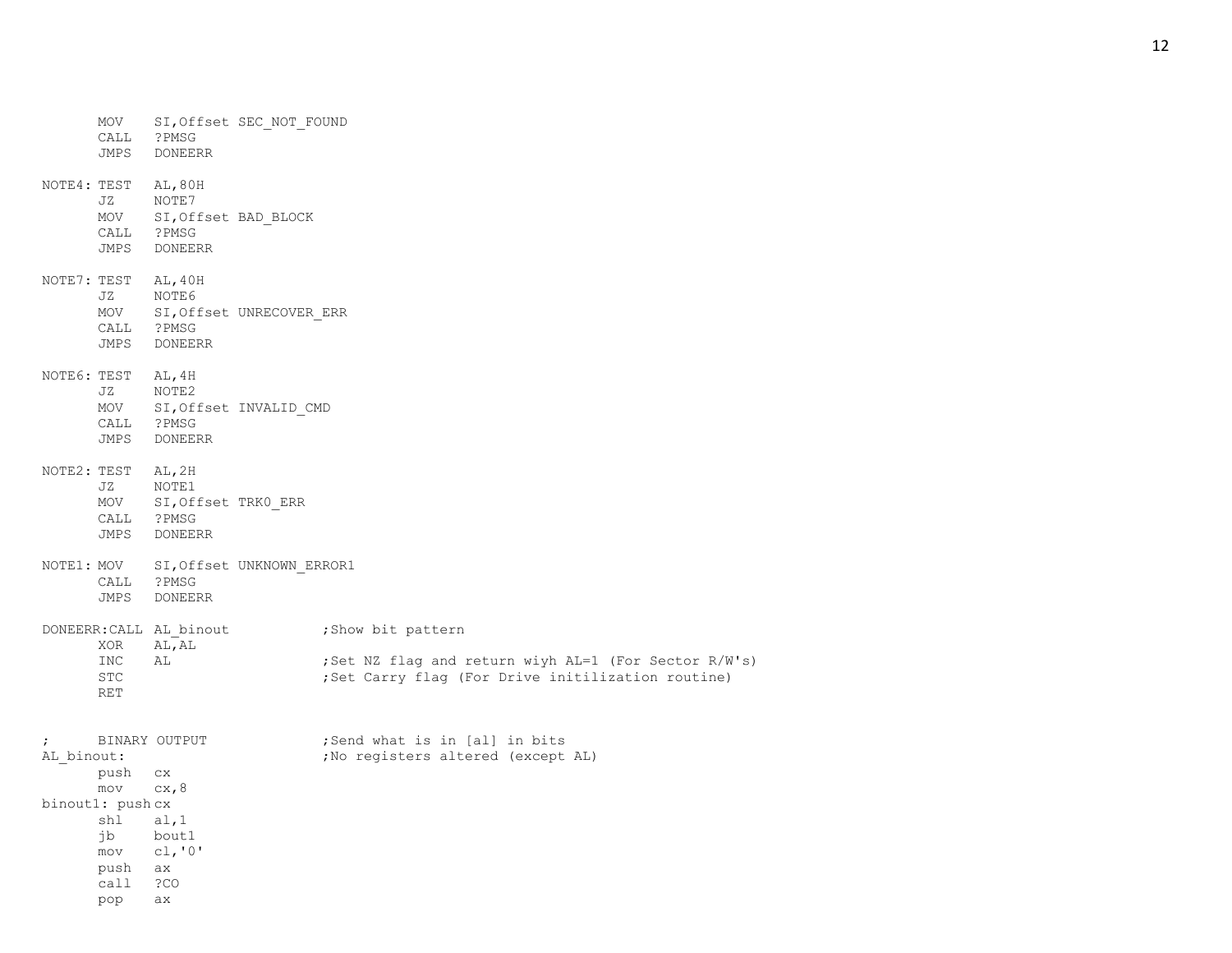|            | MOV                      |                |                                                                                                                                                                                                                                                                                                                                                                                               |                                                                                                                                                                                                                  |
|------------|--------------------------|----------------|-----------------------------------------------------------------------------------------------------------------------------------------------------------------------------------------------------------------------------------------------------------------------------------------------------------------------------------------------------------------------------------------------|------------------------------------------------------------------------------------------------------------------------------------------------------------------------------------------------------------------|
|            | JZ                       | NOTE7          |                                                                                                                                                                                                                                                                                                                                                                                               |                                                                                                                                                                                                                  |
|            | JZ                       | NOTE6          |                                                                                                                                                                                                                                                                                                                                                                                               |                                                                                                                                                                                                                  |
|            | JZ                       | NOTE2          |                                                                                                                                                                                                                                                                                                                                                                                               |                                                                                                                                                                                                                  |
|            | JZ                       | NOTE1          |                                                                                                                                                                                                                                                                                                                                                                                               |                                                                                                                                                                                                                  |
|            |                          | <b>DONEERR</b> |                                                                                                                                                                                                                                                                                                                                                                                               |                                                                                                                                                                                                                  |
|            |                          |                |                                                                                                                                                                                                                                                                                                                                                                                               | ; Show bit pattern                                                                                                                                                                                               |
|            | INC<br><b>STC</b><br>RET | AL             |                                                                                                                                                                                                                                                                                                                                                                                               | ;Set NZ flag and return wiyh AL=1 (For Sector R/W's)<br>; Set Carry flag (For Drive initilization routine)                                                                                                       |
| $\ddot{ }$ | mov                      |                |                                                                                                                                                                                                                                                                                                                                                                                               | ;Send what is in [al] in bits<br>; No registers altered (except AL)                                                                                                                                              |
|            |                          |                |                                                                                                                                                                                                                                                                                                                                                                                               |                                                                                                                                                                                                                  |
|            | jb                       |                |                                                                                                                                                                                                                                                                                                                                                                                               |                                                                                                                                                                                                                  |
|            |                          |                |                                                                                                                                                                                                                                                                                                                                                                                               |                                                                                                                                                                                                                  |
|            | call                     | ?CO            |                                                                                                                                                                                                                                                                                                                                                                                               |                                                                                                                                                                                                                  |
|            | pop                      | ax             |                                                                                                                                                                                                                                                                                                                                                                                               |                                                                                                                                                                                                                  |
|            |                          | AL binout:     | CALL ?PMSG<br>JMPS DONEERR<br>NOTE4: TEST AL, 80H<br>CALL ?PMSG<br>JMPS DONEERR<br>NOTE7: TEST AL, 40H<br>CALL ?PMSG<br>JMPS DONEERR<br>NOTE6: TEST AL, 4H<br>CALL ?PMSG<br>JMPS DONEERR<br>NOTE2: TEST AL, 2H<br>CALL ?PMSG<br>JMPS DONEERR<br>CALL ?PMSG<br>JMPS<br>XOR AL, AL<br>BINARY OUTPUT<br>push cx<br>cx, 8<br>binout1: push cx<br>shl al, 1<br>bout1<br>$mov$ $cl, '0'$<br>push ax | SI, Offset SEC_NOT_FOUND<br>MOV SI, Offset BAD_BLOCK<br>MOV SI, Offset UNRECOVER_ERR<br>MOV SI, Offset INVALID_CMD<br>MOV SI, Offset TRKO_ERR<br>NOTE1: MOV SI, Offset UNKNOWN_ERROR1<br>DONEERR: CALL AL binout |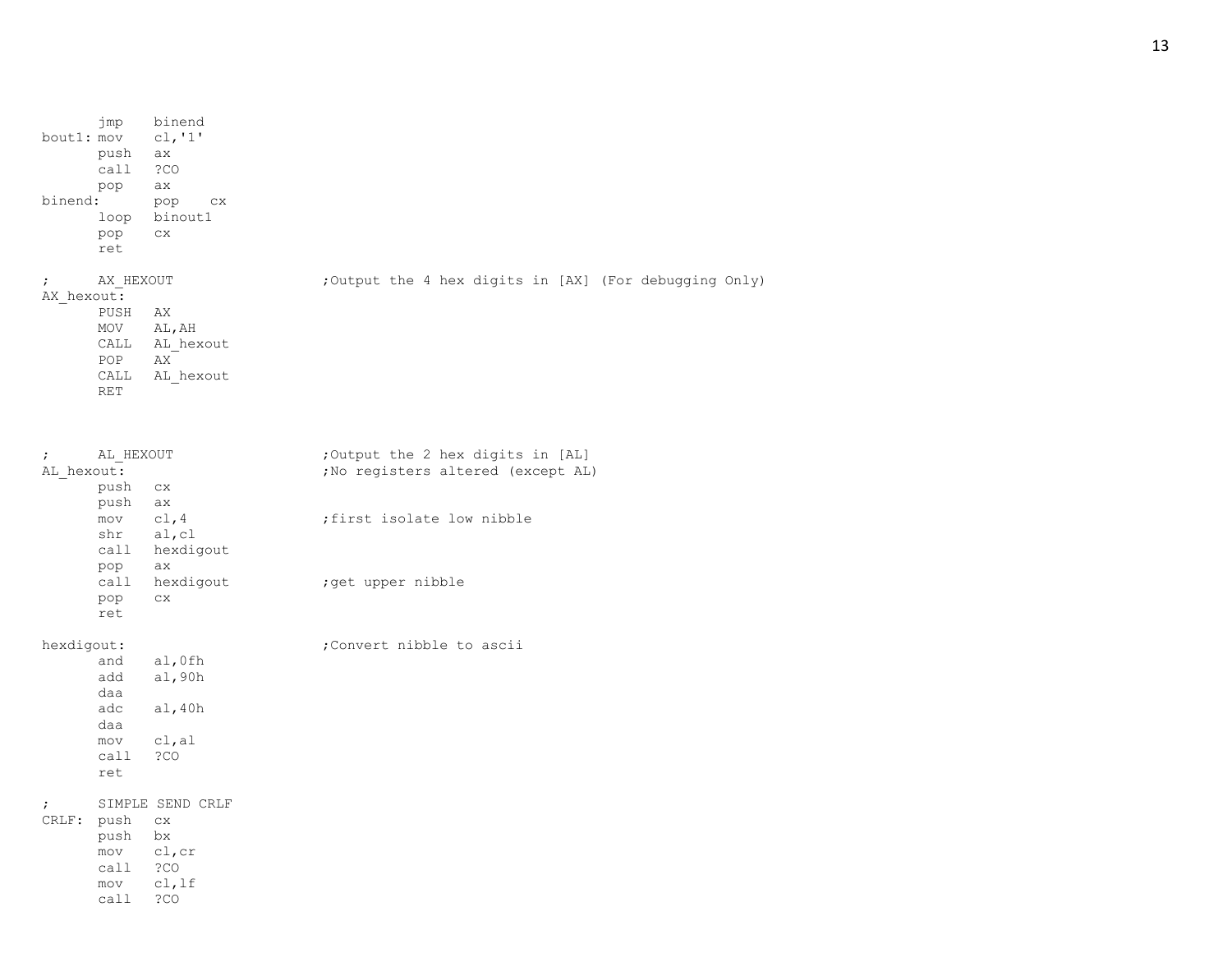|            | jmp                | binend           |  |  |                                                       |  |
|------------|--------------------|------------------|--|--|-------------------------------------------------------|--|
| bout1: mov |                    | c1, '1'          |  |  |                                                       |  |
|            | push               | ax               |  |  |                                                       |  |
|            | call               | ?CO              |  |  |                                                       |  |
|            | pop                | ax               |  |  |                                                       |  |
| binend:    |                    | pop<br><b>CX</b> |  |  |                                                       |  |
|            | loop               | binout1          |  |  |                                                       |  |
|            | pop                | CX.              |  |  |                                                       |  |
|            | ret                |                  |  |  |                                                       |  |
|            |                    |                  |  |  |                                                       |  |
|            |                    |                  |  |  |                                                       |  |
|            | AX HEXOUT          |                  |  |  | ;Output the 4 hex digits in [AX] (For debugging Only) |  |
| AX hexout: |                    |                  |  |  |                                                       |  |
|            | PUSH               | AX               |  |  |                                                       |  |
|            | MOV                | AL, AH           |  |  |                                                       |  |
|            | CALL               | AL hexout        |  |  |                                                       |  |
|            | POP                | AX               |  |  |                                                       |  |
|            | CALL<br><b>RET</b> | AL hexout        |  |  |                                                       |  |

| $\ddot{ }$ | AL HEXOUT  |                  | Output the 2 hex digits in [AL]    |
|------------|------------|------------------|------------------------------------|
|            | AL hexout: |                  | ; No registers altered (except AL) |
|            | push       | C X              |                                    |
|            | push       | ax               |                                    |
|            |            | $mov$ $cl, 4$    | first isolate low nibble           |
|            |            | shr al, cl       |                                    |
|            |            | call hexdigout   |                                    |
|            | pop        | ax               |                                    |
|            | call       | hexdigout        | ; get upper nibble                 |
|            | pop        | C X              |                                    |
|            | ret        |                  |                                    |
|            | hexdigout: |                  | Convert nibble to ascii,           |
|            | and        | al, Ofh          |                                    |
|            | add        | al, 90h          |                                    |
|            | daa        |                  |                                    |
|            | adc        | al,40h           |                                    |
|            | daa        |                  |                                    |
|            | mov        | cl,al            |                                    |
|            | call       | ?CO              |                                    |
|            | ret        |                  |                                    |
| $\ddot{ }$ |            | SIMPLE SEND CRLF |                                    |
| CRLF:      | push       | C X              |                                    |
|            | push       | bx               |                                    |
|            |            | mov cl, cr       |                                    |
|            | call ?CO   |                  |                                    |
|            |            | mov cl, lf       |                                    |
|            | call       | ?CO              |                                    |
|            |            |                  |                                    |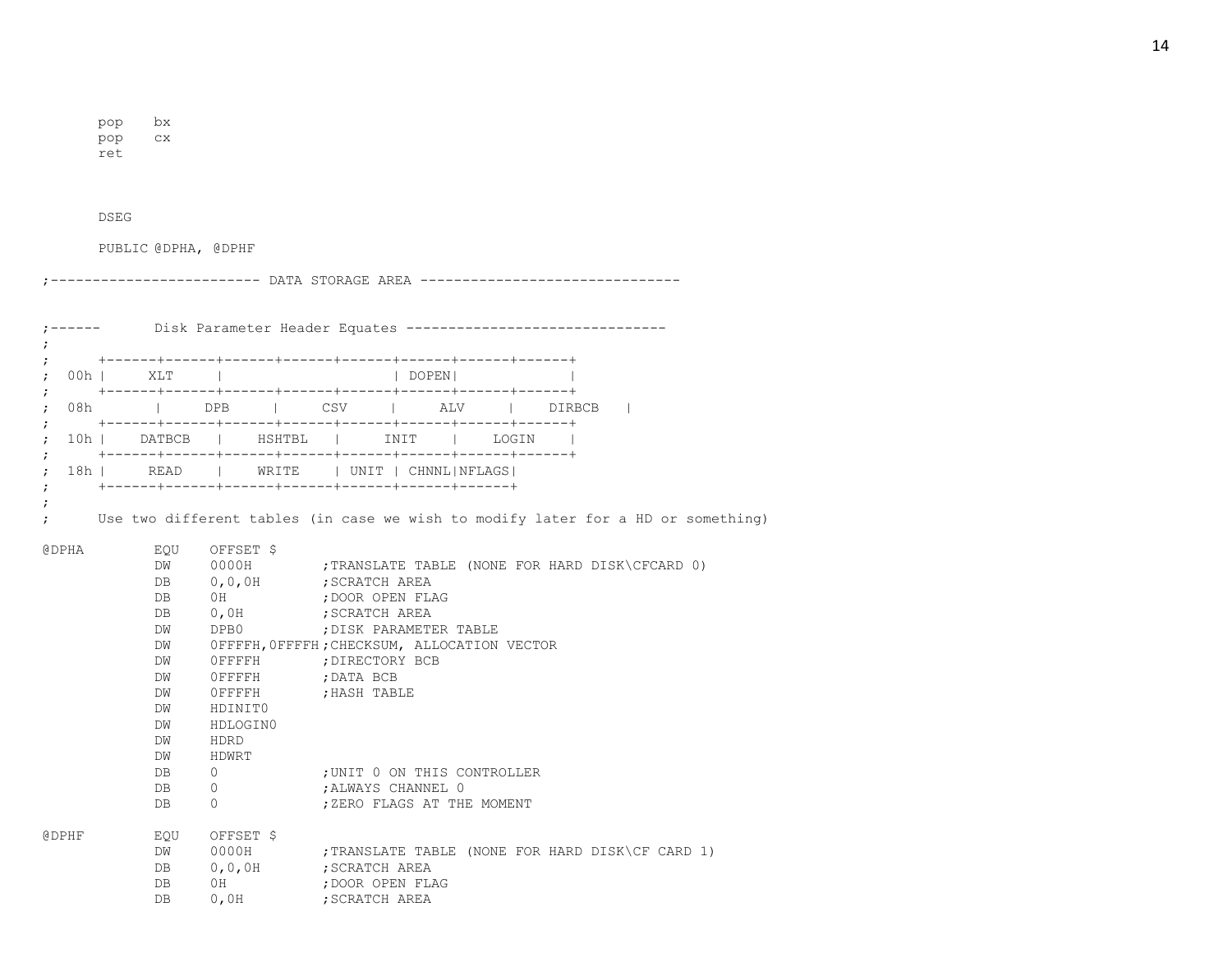pop bx pop cx

ret

DSEG

PUBLIC @DPHA, @DPHF

;------------------------- DATA STORAGE AREA -------------------------------

| $\ddot{ }$        |                                                                                                                                                                                                                                                                                                                                                                                                                                                                                                                                                                                                                                                                                                                                                                                    | Disk Parameter Header Equates -------------------------------                                                                                                                                                                                                                                                         |                                                                                 |  |                                                                                                                                           |
|-------------------|------------------------------------------------------------------------------------------------------------------------------------------------------------------------------------------------------------------------------------------------------------------------------------------------------------------------------------------------------------------------------------------------------------------------------------------------------------------------------------------------------------------------------------------------------------------------------------------------------------------------------------------------------------------------------------------------------------------------------------------------------------------------------------|-----------------------------------------------------------------------------------------------------------------------------------------------------------------------------------------------------------------------------------------------------------------------------------------------------------------------|---------------------------------------------------------------------------------|--|-------------------------------------------------------------------------------------------------------------------------------------------|
|                   | 00h   XLT                                                                                                                                                                                                                                                                                                                                                                                                                                                                                                                                                                                                                                                                                                                                                                          |                                                                                                                                                                                                                                                                                                                       | DOPEN                                                                           |  |                                                                                                                                           |
| 08h<br>$\ddot{ }$ |                                                                                                                                                                                                                                                                                                                                                                                                                                                                                                                                                                                                                                                                                                                                                                                    | DPB   CSV   ALV   DIRBCB                                                                                                                                                                                                                                                                                              |                                                                                 |  |                                                                                                                                           |
|                   |                                                                                                                                                                                                                                                                                                                                                                                                                                                                                                                                                                                                                                                                                                                                                                                    | 10h   DATBCB   HSHTBL   INIT   LOGIN                                                                                                                                                                                                                                                                                  |                                                                                 |  |                                                                                                                                           |
|                   |                                                                                                                                                                                                                                                                                                                                                                                                                                                                                                                                                                                                                                                                                                                                                                                    | 18h   READ   WRITE   UNIT   CHNNL NFLAGS                                                                                                                                                                                                                                                                              |                                                                                 |  |                                                                                                                                           |
| <b>@DPHA</b>      | EOU<br>DW<br>DB and the state of the state of the state of the state of the state of the state of the state of the state of the state of the state of the state of the state of the state of the state of the state of the state of the sta<br>DB<br>DB and the set of the set of the set of the set of the set of the set of the set of the set of the set of the set of the set of the set of the set of the set of the set of the set of the set of the set of the set of the se<br>DW<br>DW<br>DW<br>DW<br>DW<br>DW<br>DW<br>DW<br>DW<br>DB and the set of the set of the set of the set of the set of the set of the set of the set of the set of the set of the set of the set of the set of the set of the set of the set of the set of the set of the set of the se<br>DB. | OFFSET \$<br>0,0,0H ; SCRATCH AREA<br>0H ; DOOR OPEN FLAG<br>0,0H ; SCRATCH AREA<br>DPB0 ; DISK PARAMETER TABLE<br>OFFFFH, OFFFFH; CHECKSUM, ALLOCATION VECTOR<br>OFFFFH ; DIRECTORY BCB<br>OFFFFH ; DATA BCB<br>OFFFFH ; HASH TABLE<br>HDINITO<br>HDLOGIN0<br>HDRD<br>HDWRT<br>DB 0<br>$0 \qquad \qquad$<br>$\Omega$ | ; UNIT 0 ON THIS CONTROLLER<br>; ALWAYS CHANNEL 0<br>; ZERO FLAGS AT THE MOMENT |  | Use two different tables (in case we wish to modify later for a HD or something)<br>0000H ; TRANSLATE TABLE (NONE FOR HARD DISK\CFCARD 0) |
| <b>@DPHF</b>      | EOU<br>DW<br>DB <sub>2</sub><br>DB.<br>DB                                                                                                                                                                                                                                                                                                                                                                                                                                                                                                                                                                                                                                                                                                                                          | OFFSET \$<br>0,0,0H ; SCRATCH AREA<br>OH<br>0,0H ; SCRATCH AREA                                                                                                                                                                                                                                                       | ; DOOR OPEN FLAG                                                                |  | 0000H ; TRANSLATE TABLE (NONE FOR HARD DISK\CF CARD 1)                                                                                    |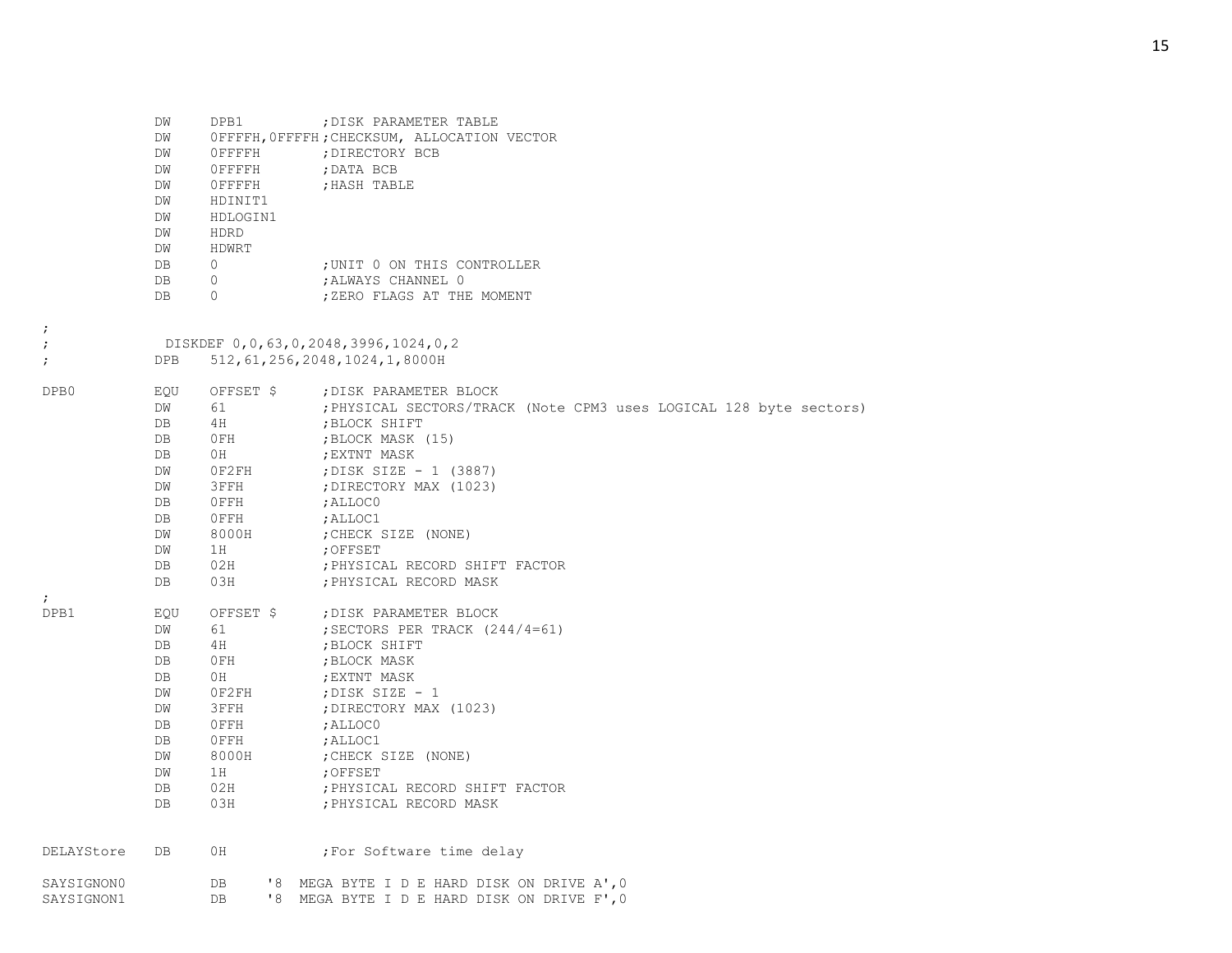|                          | DW<br>DW<br>DW<br>DW<br>DW<br>DW<br>DW<br>DW<br>DW<br>DB<br>DB<br>DB        | DPB1<br>OFFFFH<br>OFFFFH<br>OFFFFH<br>HDINIT1<br>HDLOGIN1<br>HDRD<br>HDWRT<br>$\Omega$<br>0<br>$\Omega$ | ; DISK PARAMETER TABLE<br>OFFFFH, OFFFFH; CHECKSUM, ALLOCATION VECTOR<br>; DIRECTORY BCB<br>; DATA BCB<br>; HASH TABLE<br>; UNIT 0 ON THIS CONTROLLER<br>; ALWAYS CHANNEL 0<br>; ZERO FLAGS AT THE MOMENT                                                                                                                     |
|--------------------------|-----------------------------------------------------------------------------|---------------------------------------------------------------------------------------------------------|-------------------------------------------------------------------------------------------------------------------------------------------------------------------------------------------------------------------------------------------------------------------------------------------------------------------------------|
| $\ddot{\phantom{0}}$     |                                                                             |                                                                                                         |                                                                                                                                                                                                                                                                                                                               |
| $\ddot{ }$<br>$\ddot{ }$ | <b>DPB</b>                                                                  |                                                                                                         | DISKDEF 0,0,63,0,2048,3996,1024,0,2<br>512, 61, 256, 2048, 1024, 1, 8000H                                                                                                                                                                                                                                                     |
| DPB0                     | EOU<br>DW<br>DB<br>DB<br>DB<br>DW<br>DW<br>DB<br>DB<br>DW<br>DW<br>DB<br>DB | OFFSET \$<br>61<br>4H<br>0FH<br>OH<br>0F2FH<br>3FFH<br>$0$ FFH<br>OFFH<br>8000H<br>1H<br>02H<br>03H     | ; DISK PARAMETER BLOCK<br>; PHYSICAL SECTORS/TRACK (Note CPM3 uses LOGICAL 128 byte sectors)<br>; BLOCK SHIFT<br>; BLOCK MASK (15)<br>; EXTNT MASK<br>; DISK SIZE - 1 (3887)<br>; DIRECTORY MAX (1023)<br>; ALLOCO<br>; ALLOC1<br>; CHECK SIZE (NONE)<br>; OFFSET<br>; PHYSICAL RECORD SHIFT FACTOR<br>; PHYSICAL RECORD MASK |
| $\ddot{ }$<br>DPB1       | EQU<br>DW<br>DB<br>DB<br>DB<br>DW<br>DW<br>DB<br>DB<br>DW<br>DW<br>DB<br>DB | OFFSET \$<br>61<br>4H<br>OFH<br>0H<br>0F2FH<br>3FFH<br>$0$ FFH<br>OFFH<br>8000H<br>1H<br>02H<br>03H     | ; DISK PARAMETER BLOCK<br>; SECTORS PER TRACK $(244/4=61)$<br>; BLOCK SHIFT<br>; BLOCK MASK<br>; EXTNT MASK<br>; DISK SIZE $-1$<br>; DIRECTORY MAX (1023)<br>; ALLOCO<br>; ALLOC1<br>; CHECK SIZE (NONE)<br>;OFFSET<br>; PHYSICAL RECORD SHIFT FACTOR<br>; PHYSICAL RECORD MASK                                               |
| DELAYStore               | DB                                                                          | 0H                                                                                                      | ; For Software time delay                                                                                                                                                                                                                                                                                                     |
| SAYSIGNON0<br>SAYSIGNON1 |                                                                             | DB<br>DB                                                                                                | '8 MEGA BYTE I D E HARD DISK ON DRIVE A', 0<br>'8 MEGA BYTE I D E HARD DISK ON DRIVE F', 0                                                                                                                                                                                                                                    |

15